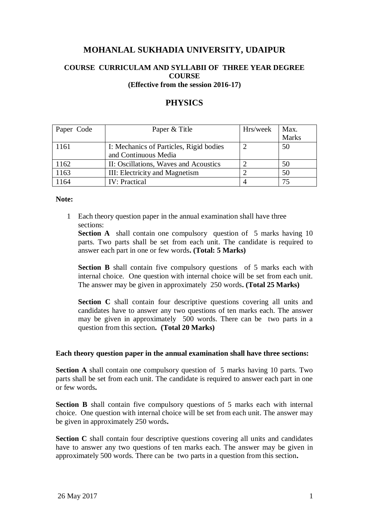# **MOHANLAL SUKHADIA UNIVERSITY, UDAIPUR**

# **COURSE CURRICULAM AND SYLLABII OF THREE YEAR DEGREE COURSE (Effective from the session 2016-17)**

# **PHYSICS**

| Paper Code | Paper & Title                           | Hrs/week | Max.         |
|------------|-----------------------------------------|----------|--------------|
|            |                                         |          | <b>Marks</b> |
| 1161       | I: Mechanics of Particles, Rigid bodies |          | 50           |
|            | and Continuous Media                    |          |              |
| 1162       | II: Oscillations, Waves and Acoustics   |          | 50           |
| 1163       | III: Electricity and Magnetism          |          | 50           |
| 164        | <b>IV: Practical</b>                    |          | 75           |

#### **Note:**

1 Each theory question paper in the annual examination shall have three sections:

**Section A** shall contain one compulsory question of 5 marks having 10 parts. Two parts shall be set from each unit. The candidate is required to answer each part in one or few words**. (Total: 5 Marks)**

**Section B** shall contain five compulsory questions of 5 marks each with internal choice. One question with internal choice will be set from each unit. The answer may be given in approximately 250 words**. (Total 25 Marks)**

**Section C** shall contain four descriptive questions covering all units and candidates have to answer any two questions of ten marks each. The answer may be given in approximately 500 words. There can be two parts in a question from this section**. (Total 20 Marks)**

## **Each theory question paper in the annual examination shall have three sections:**

**Section A** shall contain one compulsory question of 5 marks having 10 parts. Two parts shall be set from each unit. The candidate is required to answer each part in one or few words**.**

**Section B** shall contain five compulsory questions of 5 marks each with internal choice. One question with internal choice will be set from each unit. The answer may be given in approximately 250 words**.**

**Section C** shall contain four descriptive questions covering all units and candidates have to answer any two questions of ten marks each. The answer may be given in approximately 500 words. There can be two parts in a question from this section**.**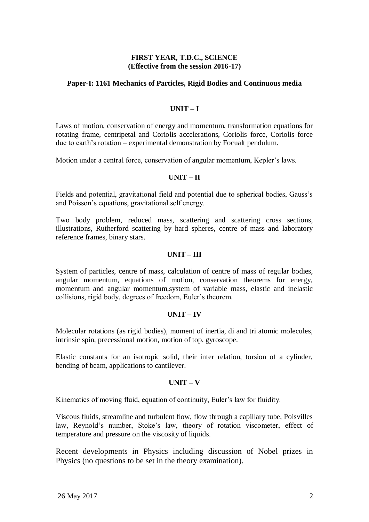# **FIRST YEAR, T.D.C., SCIENCE (Effective from the session 2016-17)**

# **Paper-I: 1161 Mechanics of Particles, Rigid Bodies and Continuous media**

# **UNIT – I**

Laws of motion, conservation of energy and momentum, transformation equations for rotating frame, centripetal and Coriolis accelerations, Coriolis force, Coriolis force due to earth"s rotation – experimental demonstration by Focualt pendulum.

Motion under a central force, conservation of angular momentum, Kepler"s laws.

## **UNIT – II**

Fields and potential, gravitational field and potential due to spherical bodies, Gauss"s and Poisson"s equations, gravitational self energy.

Two body problem, reduced mass, scattering and scattering cross sections, illustrations, Rutherford scattering by hard spheres, centre of mass and laboratory reference frames, binary stars.

## **UNIT – III**

System of particles, centre of mass, calculation of centre of mass of regular bodies, angular momentum, equations of motion, conservation theorems for energy, momentum and angular momentum,system of variable mass, elastic and inelastic collisions, rigid body, degrees of freedom, Euler"s theorem.

## **UNIT – IV**

Molecular rotations (as rigid bodies), moment of inertia, di and tri atomic molecules, intrinsic spin, precessional motion, motion of top, gyroscope.

Elastic constants for an isotropic solid, their inter relation, torsion of a cylinder, bending of beam, applications to cantilever.

## **UNIT – V**

Kinematics of moving fluid, equation of continuity, Euler"s law for fluidity.

Viscous fluids, streamline and turbulent flow, flow through a capillary tube, Poisvilles law, Reynold's number, Stoke's law, theory of rotation viscometer, effect of temperature and pressure on the viscosity of liquids.

Recent developments in Physics including discussion of Nobel prizes in Physics (no questions to be set in the theory examination).